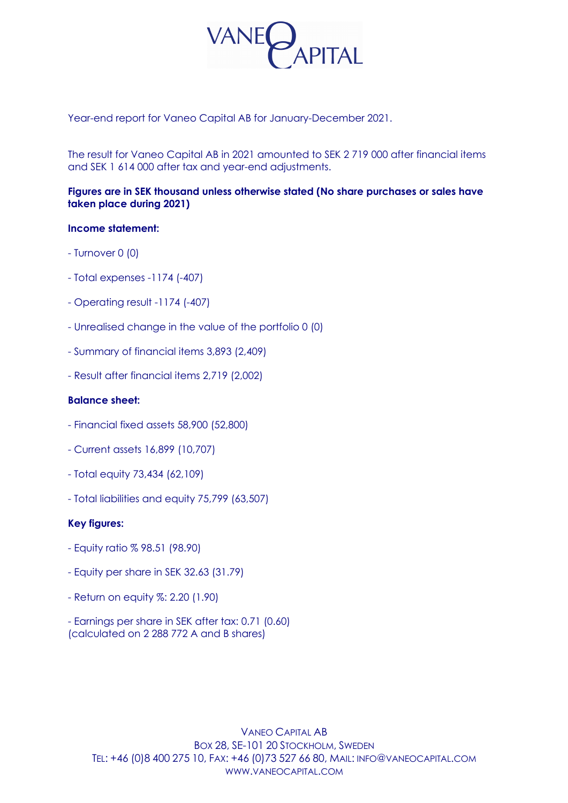

Year-end report for Vaneo Capital AB for January-December 2021.

The result for Vaneo Capital AB in 2021 amounted to SEK 2 719 000 after financial items and SEK 1 614 000 after tax and year-end adjustments.

# **Figures are in SEK thousand unless otherwise stated (No share purchases or sales have taken place during 2021)**

## **Income statement:**

- Turnover 0 (0)
- Total expenses -1174 (-407)
- Operating result -1174 (-407)
- Unrealised change in the value of the portfolio 0 (0)
- Summary of financial items 3,893 (2,409)
- Result after financial items 2,719 (2,002)

## **Balance sheet:**

- Financial fixed assets 58,900 (52,800)
- Current assets 16,899 (10,707)
- Total equity 73,434 (62,109)
- Total liabilities and equity 75,799 (63,507)

#### **Key figures:**

- Equity ratio % 98.51 (98.90)
- Equity per share in SEK 32.63 (31.79)
- Return on equity %: 2.20 (1.90)
- Earnings per share in SEK after tax: 0.71 (0.60) (calculated on 2 288 772 A and B shares)

VANEO CAPITAL AB BOX 28, SE-101 20 STOCKHOLM, SWEDEN TEL: +46 (0)8 400 275 10, FAX: +46 (0)73 527 66 80, MAIL: INFO@VANEOCAPITAL.COM WWW.VANEOCAPITAL.COM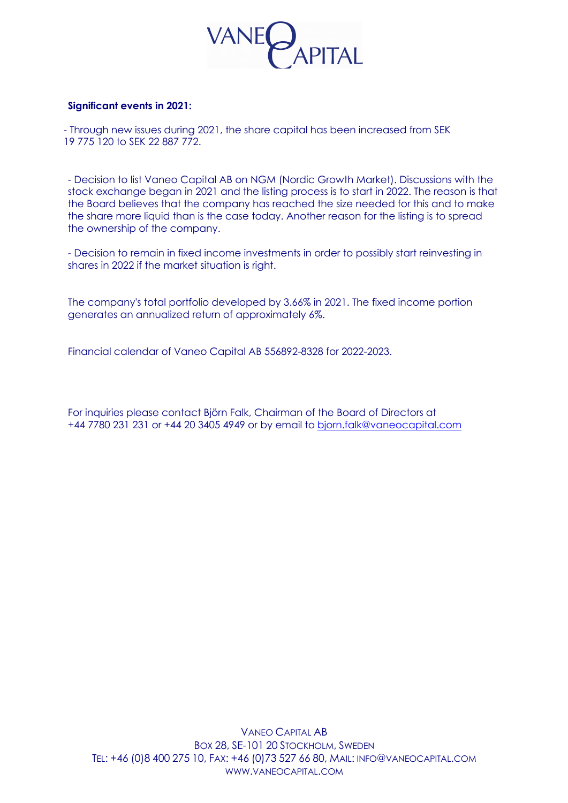

### **Significant events in 2021:**

 - Through new issues during 2021, the share capital has been increased from SEK 19 775 120 to SEK 22 887 772.

- Decision to list Vaneo Capital AB on NGM (Nordic Growth Market). Discussions with the stock exchange began in 2021 and the listing process is to start in 2022. The reason is that the Board believes that the company has reached the size needed for this and to make the share more liquid than is the case today. Another reason for the listing is to spread the ownership of the company.

- Decision to remain in fixed income investments in order to possibly start reinvesting in shares in 2022 if the market situation is right.

The company's total portfolio developed by 3.66% in 2021. The fixed income portion generates an annualized return of approximately 6%.

Financial calendar of Vaneo Capital AB 556892-8328 for 2022-2023.

For inquiries please contact Björn Falk, Chairman of the Board of Directors at +44 7780 231 231 or +44 20 3405 4949 or by email to bjorn.falk@vaneocapital.com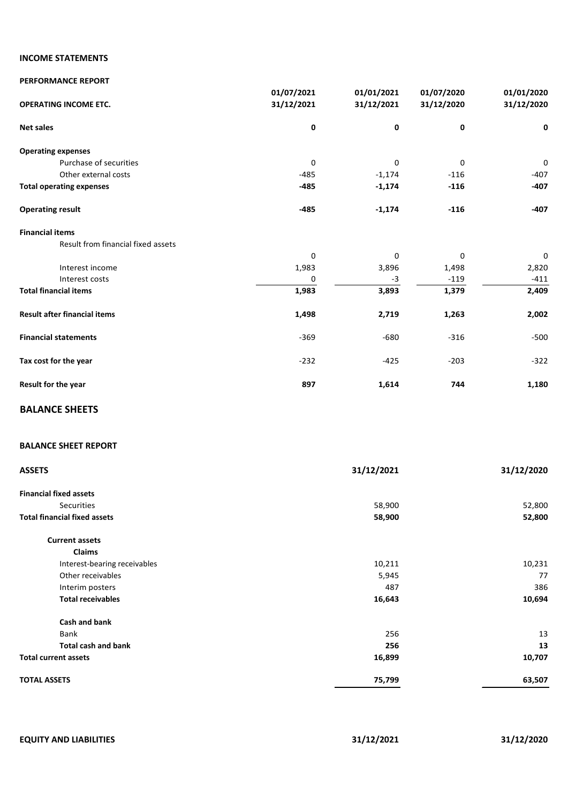## **INCOME STATEMENTS**

| <b>PERFORMANCE REPORT</b>           |            |            |            |             |
|-------------------------------------|------------|------------|------------|-------------|
|                                     | 01/07/2021 | 01/01/2021 | 01/07/2020 | 01/01/2020  |
| <b>OPERATING INCOME ETC.</b>        | 31/12/2021 | 31/12/2021 | 31/12/2020 | 31/12/2020  |
| <b>Net sales</b>                    | 0          | 0          | 0          | 0           |
| <b>Operating expenses</b>           |            |            |            |             |
| Purchase of securities              | 0          | 0          | 0          | $\mathbf 0$ |
| Other external costs                | $-485$     | $-1,174$   | $-116$     | $-407$      |
| <b>Total operating expenses</b>     | $-485$     | $-1,174$   | $-116$     | $-407$      |
| <b>Operating result</b>             | $-485$     | $-1,174$   | $-116$     | $-407$      |
| <b>Financial items</b>              |            |            |            |             |
| Result from financial fixed assets  |            |            |            |             |
|                                     | $\Omega$   | $\Omega$   | $\Omega$   | $\mathbf 0$ |
| Interest income                     | 1,983      | 3,896      | 1,498      | 2,820       |
| Interest costs                      | 0          | $-3$       | $-119$     | $-411$      |
| <b>Total financial items</b>        | 1,983      | 3,893      | 1,379      | 2,409       |
| <b>Result after financial items</b> | 1,498      | 2,719      | 1,263      | 2,002       |
| <b>Financial statements</b>         | $-369$     | $-680$     | $-316$     | $-500$      |
| Tax cost for the year               | $-232$     | $-425$     | $-203$     | $-322$      |
| Result for the year                 | 897        | 1,614      | 744        | 1,180       |
|                                     |            |            |            |             |

# **BALANCE SHEETS**

#### **BALANCE SHEET REPORT**

| <b>ASSETS</b>                       | 31/12/2021 | 31/12/2020 |
|-------------------------------------|------------|------------|
| <b>Financial fixed assets</b>       |            |            |
| Securities                          | 58,900     | 52,800     |
| <b>Total financial fixed assets</b> | 58,900     | 52,800     |
| <b>Current assets</b>               |            |            |
| Claims                              |            |            |
| Interest-bearing receivables        | 10,211     | 10,231     |
| Other receivables                   | 5,945      | 77         |
| Interim posters                     | 487        | 386        |
| <b>Total receivables</b>            | 16,643     | 10,694     |
| Cash and bank                       |            |            |
| Bank                                | 256        | 13         |
| <b>Total cash and bank</b>          | 256        | 13         |
| <b>Total current assets</b>         | 16,899     | 10,707     |
| <b>TOTAL ASSETS</b>                 | 75,799     | 63,507     |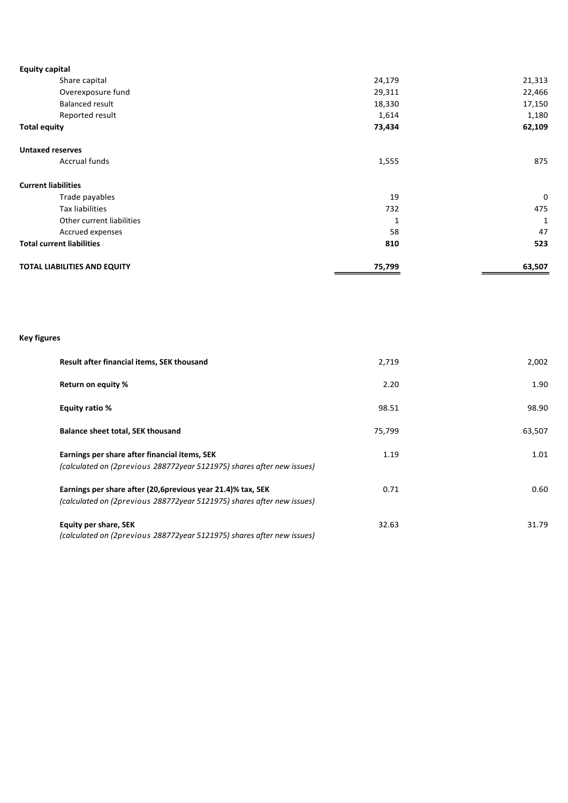| <b>Equity capital</b>               |        |        |
|-------------------------------------|--------|--------|
| Share capital                       | 24,179 | 21,313 |
| Overexposure fund                   | 29,311 | 22,466 |
| <b>Balanced result</b>              | 18,330 | 17,150 |
| Reported result                     | 1,614  | 1,180  |
| <b>Total equity</b>                 | 73,434 | 62,109 |
| <b>Untaxed reserves</b>             |        |        |
| Accrual funds                       | 1,555  | 875    |
| <b>Current liabilities</b>          |        |        |
| Trade payables                      | 19     | 0      |
| Tax liabilities                     | 732    | 475    |
| Other current liabilities           | 1      | 1      |
| Accrued expenses                    | 58     | 47     |
| <b>Total current liabilities</b>    | 810    | 523    |
| <b>TOTAL LIABILITIES AND EQUITY</b> | 75,799 | 63,507 |

#### **Key figures**

| Result after financial items, SEK thousand                                                                                            | 2,719  | 2,002  |
|---------------------------------------------------------------------------------------------------------------------------------------|--------|--------|
| Return on equity %                                                                                                                    | 2.20   | 1.90   |
| Equity ratio %                                                                                                                        | 98.51  | 98.90  |
| <b>Balance sheet total, SEK thousand</b>                                                                                              | 75,799 | 63,507 |
| Earnings per share after financial items, SEK<br>(calculated on (2previous 288772year 5121975) shares after new issues)               | 1.19   | 1.01   |
| Earnings per share after (20,6previous year 21.4)% tax, SEK<br>(calculated on (2previous 288772year 5121975) shares after new issues) | 0.71   | 0.60   |
| Equity per share, SEK<br>(calculated on (2previous 288772year 5121975) shares after new issues)                                       | 32.63  | 31.79  |